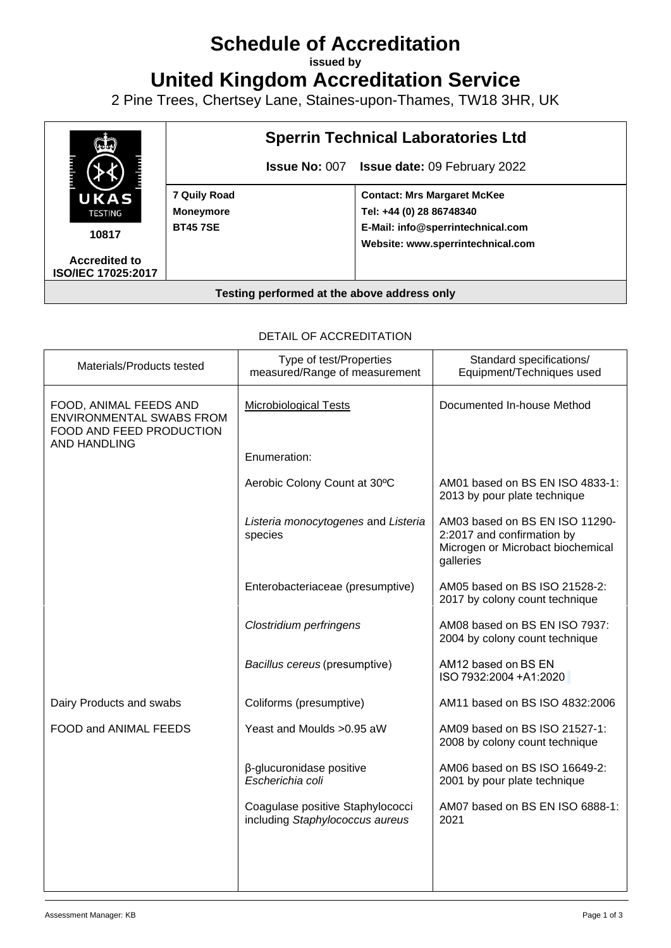# **Schedule of Accreditation**

**issued by**

**United Kingdom Accreditation Service**

2 Pine Trees, Chertsey Lane, Staines-upon-Thames, TW18 3HR, UK



| DETAIL OF ACCREDITATION                                                                                      |                                                                     |                                                                                                                |  |  |
|--------------------------------------------------------------------------------------------------------------|---------------------------------------------------------------------|----------------------------------------------------------------------------------------------------------------|--|--|
| Materials/Products tested                                                                                    | Type of test/Properties<br>measured/Range of measurement            | Standard specifications/<br>Equipment/Techniques used                                                          |  |  |
| FOOD, ANIMAL FEEDS AND<br><b>ENVIRONMENTAL SWABS FROM</b><br>FOOD AND FEED PRODUCTION<br><b>AND HANDLING</b> | <b>Microbiological Tests</b>                                        | Documented In-house Method                                                                                     |  |  |
|                                                                                                              | Enumeration:                                                        |                                                                                                                |  |  |
|                                                                                                              | Aerobic Colony Count at 30°C                                        | AM01 based on BS EN ISO 4833-1:<br>2013 by pour plate technique                                                |  |  |
|                                                                                                              | Listeria monocytogenes and Listeria<br>species                      | AM03 based on BS EN ISO 11290-<br>2:2017 and confirmation by<br>Microgen or Microbact biochemical<br>galleries |  |  |
|                                                                                                              | Enterobacteriaceae (presumptive)                                    | AM05 based on BS ISO 21528-2:<br>2017 by colony count technique                                                |  |  |
|                                                                                                              | Clostridium perfringens                                             | AM08 based on BS EN ISO 7937:<br>2004 by colony count technique                                                |  |  |
|                                                                                                              | Bacillus cereus (presumptive)                                       | AM12 based on BS EN<br>ISO 7932:2004 + A1:2020                                                                 |  |  |
| Dairy Products and swabs                                                                                     | Coliforms (presumptive)                                             | AM11 based on BS ISO 4832:2006                                                                                 |  |  |
| FOOD and ANIMAL FEEDS                                                                                        | Yeast and Moulds > 0.95 aW                                          | AM09 based on BS ISO 21527-1:<br>2008 by colony count technique                                                |  |  |
|                                                                                                              | β-glucuronidase positive<br>Escherichia coli                        | AM06 based on BS ISO 16649-2:<br>2001 by pour plate technique                                                  |  |  |
|                                                                                                              | Coagulase positive Staphylococci<br>including Staphylococcus aureus | AM07 based on BS EN ISO 6888-1:<br>2021                                                                        |  |  |
|                                                                                                              |                                                                     |                                                                                                                |  |  |
|                                                                                                              |                                                                     |                                                                                                                |  |  |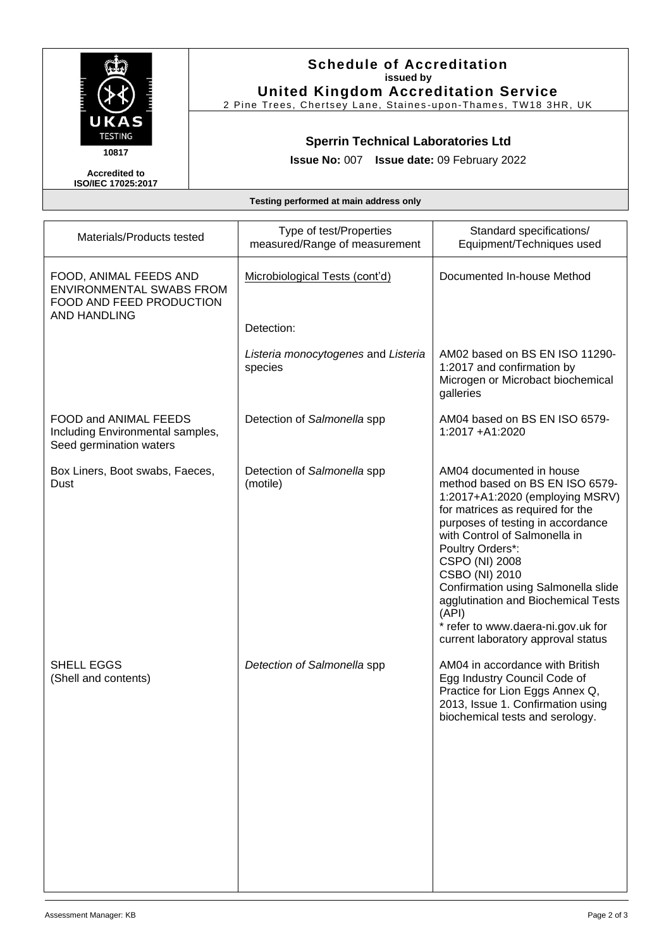

### **Schedule of Accreditation issued by United Kingdom Accreditation Service**

2 Pine Trees, Chertsey Lane, Staines -upon -Thames, TW18 3HR, UK

# **Sperrin Technical Laboratories Ltd**

**Issue No:** 007 **Issue date:** 09 February 2022

**Accredited to ISO/IEC 17025:2017**

**Testing performed at main address only**

| Materials/Products tested                                                                                    | Type of test/Properties<br>measured/Range of measurement | Standard specifications/<br>Equipment/Techniques used                                                                                                                                                                                                                                                                                                                                                                               |
|--------------------------------------------------------------------------------------------------------------|----------------------------------------------------------|-------------------------------------------------------------------------------------------------------------------------------------------------------------------------------------------------------------------------------------------------------------------------------------------------------------------------------------------------------------------------------------------------------------------------------------|
| FOOD, ANIMAL FEEDS AND<br><b>ENVIRONMENTAL SWABS FROM</b><br>FOOD AND FEED PRODUCTION<br><b>AND HANDLING</b> | Microbiological Tests (cont'd)                           | Documented In-house Method                                                                                                                                                                                                                                                                                                                                                                                                          |
|                                                                                                              | Detection:                                               |                                                                                                                                                                                                                                                                                                                                                                                                                                     |
|                                                                                                              | Listeria monocytogenes and Listeria<br>species           | AM02 based on BS EN ISO 11290-<br>1:2017 and confirmation by<br>Microgen or Microbact biochemical<br>galleries                                                                                                                                                                                                                                                                                                                      |
| FOOD and ANIMAL FEEDS<br>Including Environmental samples,<br>Seed germination waters                         | Detection of Salmonella spp                              | AM04 based on BS EN ISO 6579-<br>1:2017 +A1:2020                                                                                                                                                                                                                                                                                                                                                                                    |
| Box Liners, Boot swabs, Faeces,<br>Dust                                                                      | Detection of Salmonella spp<br>(motile)                  | AM04 documented in house<br>method based on BS EN ISO 6579-<br>1:2017+A1:2020 (employing MSRV)<br>for matrices as required for the<br>purposes of testing in accordance<br>with Control of Salmonella in<br>Poultry Orders*:<br>CSPO (NI) 2008<br>CSBO (NI) 2010<br>Confirmation using Salmonella slide<br>agglutination and Biochemical Tests<br>(API)<br>* refer to www.daera-ni.gov.uk for<br>current laboratory approval status |
| SHELL EGGS<br>(Shell and contents)                                                                           | Detection of Salmonella spp                              | AM04 in accordance with British<br>Egg Industry Council Code of<br>Practice for Lion Eggs Annex Q,<br>2013, Issue 1. Confirmation using<br>biochemical tests and serology.                                                                                                                                                                                                                                                          |